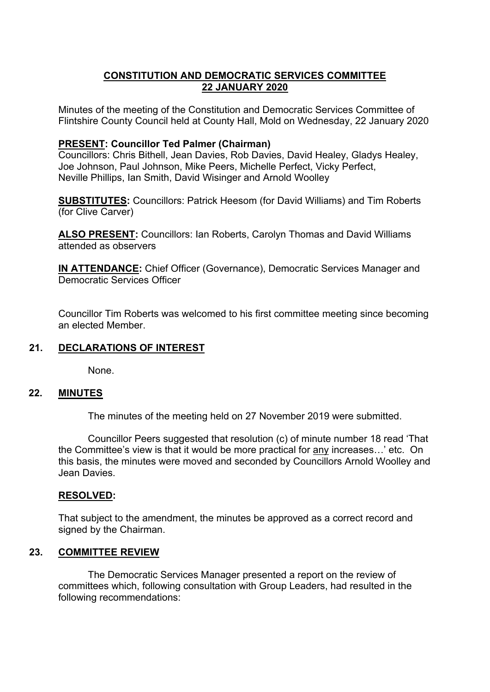# **CONSTITUTION AND DEMOCRATIC SERVICES COMMITTEE 22 JANUARY 2020**

Minutes of the meeting of the Constitution and Democratic Services Committee of Flintshire County Council held at County Hall, Mold on Wednesday, 22 January 2020

#### **PRESENT: Councillor Ted Palmer (Chairman)**

Councillors: Chris Bithell, Jean Davies, Rob Davies, David Healey, Gladys Healey, Joe Johnson, Paul Johnson, Mike Peers, Michelle Perfect, Vicky Perfect, Neville Phillips, Ian Smith, David Wisinger and Arnold Woolley

**SUBSTITUTES:** Councillors: Patrick Heesom (for David Williams) and Tim Roberts (for Clive Carver)

**ALSO PRESENT:** Councillors: Ian Roberts, Carolyn Thomas and David Williams attended as observers

**IN ATTENDANCE:** Chief Officer (Governance), Democratic Services Manager and Democratic Services Officer

Councillor Tim Roberts was welcomed to his first committee meeting since becoming an elected Member.

## **21. DECLARATIONS OF INTEREST**

None.

#### **22. MINUTES**

The minutes of the meeting held on 27 November 2019 were submitted.

Councillor Peers suggested that resolution (c) of minute number 18 read 'That the Committee's view is that it would be more practical for any increases…' etc. On this basis, the minutes were moved and seconded by Councillors Arnold Woolley and Jean Davies.

### **RESOLVED:**

That subject to the amendment, the minutes be approved as a correct record and signed by the Chairman.

### **23. COMMITTEE REVIEW**

The Democratic Services Manager presented a report on the review of committees which, following consultation with Group Leaders, had resulted in the following recommendations: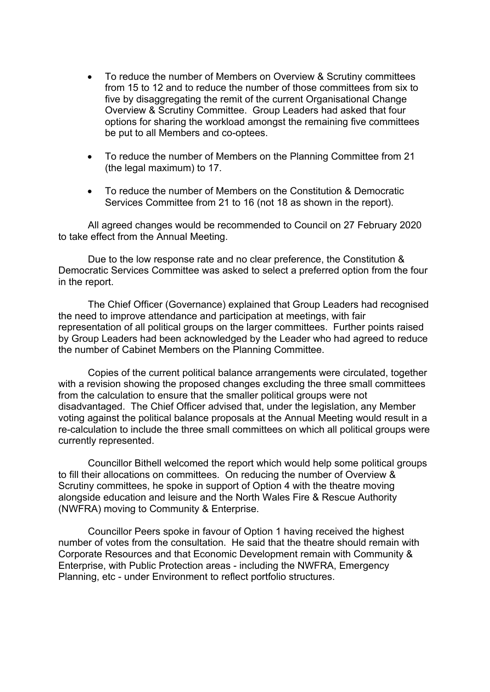- To reduce the number of Members on Overview & Scrutiny committees from 15 to 12 and to reduce the number of those committees from six to five by disaggregating the remit of the current Organisational Change Overview & Scrutiny Committee. Group Leaders had asked that four options for sharing the workload amongst the remaining five committees be put to all Members and co-optees.
- To reduce the number of Members on the Planning Committee from 21 (the legal maximum) to 17.
- To reduce the number of Members on the Constitution & Democratic Services Committee from 21 to 16 (not 18 as shown in the report).

All agreed changes would be recommended to Council on 27 February 2020 to take effect from the Annual Meeting.

Due to the low response rate and no clear preference, the Constitution & Democratic Services Committee was asked to select a preferred option from the four in the report.

The Chief Officer (Governance) explained that Group Leaders had recognised the need to improve attendance and participation at meetings, with fair representation of all political groups on the larger committees. Further points raised by Group Leaders had been acknowledged by the Leader who had agreed to reduce the number of Cabinet Members on the Planning Committee.

Copies of the current political balance arrangements were circulated, together with a revision showing the proposed changes excluding the three small committees from the calculation to ensure that the smaller political groups were not disadvantaged. The Chief Officer advised that, under the legislation, any Member voting against the political balance proposals at the Annual Meeting would result in a re-calculation to include the three small committees on which all political groups were currently represented.

Councillor Bithell welcomed the report which would help some political groups to fill their allocations on committees. On reducing the number of Overview & Scrutiny committees, he spoke in support of Option 4 with the theatre moving alongside education and leisure and the North Wales Fire & Rescue Authority (NWFRA) moving to Community & Enterprise.

Councillor Peers spoke in favour of Option 1 having received the highest number of votes from the consultation. He said that the theatre should remain with Corporate Resources and that Economic Development remain with Community & Enterprise, with Public Protection areas - including the NWFRA, Emergency Planning, etc - under Environment to reflect portfolio structures.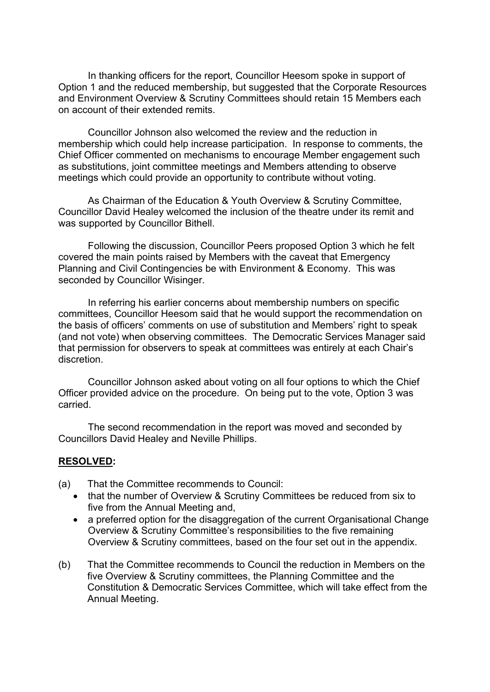In thanking officers for the report, Councillor Heesom spoke in support of Option 1 and the reduced membership, but suggested that the Corporate Resources and Environment Overview & Scrutiny Committees should retain 15 Members each on account of their extended remits.

Councillor Johnson also welcomed the review and the reduction in membership which could help increase participation. In response to comments, the Chief Officer commented on mechanisms to encourage Member engagement such as substitutions, joint committee meetings and Members attending to observe meetings which could provide an opportunity to contribute without voting.

As Chairman of the Education & Youth Overview & Scrutiny Committee, Councillor David Healey welcomed the inclusion of the theatre under its remit and was supported by Councillor Bithell.

Following the discussion, Councillor Peers proposed Option 3 which he felt covered the main points raised by Members with the caveat that Emergency Planning and Civil Contingencies be with Environment & Economy. This was seconded by Councillor Wisinger.

In referring his earlier concerns about membership numbers on specific committees, Councillor Heesom said that he would support the recommendation on the basis of officers' comments on use of substitution and Members' right to speak (and not vote) when observing committees. The Democratic Services Manager said that permission for observers to speak at committees was entirely at each Chair's discretion.

Councillor Johnson asked about voting on all four options to which the Chief Officer provided advice on the procedure. On being put to the vote, Option 3 was carried.

The second recommendation in the report was moved and seconded by Councillors David Healey and Neville Phillips.

### **RESOLVED:**

- (a) That the Committee recommends to Council:
	- that the number of Overview & Scrutiny Committees be reduced from six to five from the Annual Meeting and,
	- a preferred option for the disaggregation of the current Organisational Change Overview & Scrutiny Committee's responsibilities to the five remaining Overview & Scrutiny committees, based on the four set out in the appendix.
- (b) That the Committee recommends to Council the reduction in Members on the five Overview & Scrutiny committees, the Planning Committee and the Constitution & Democratic Services Committee, which will take effect from the Annual Meeting.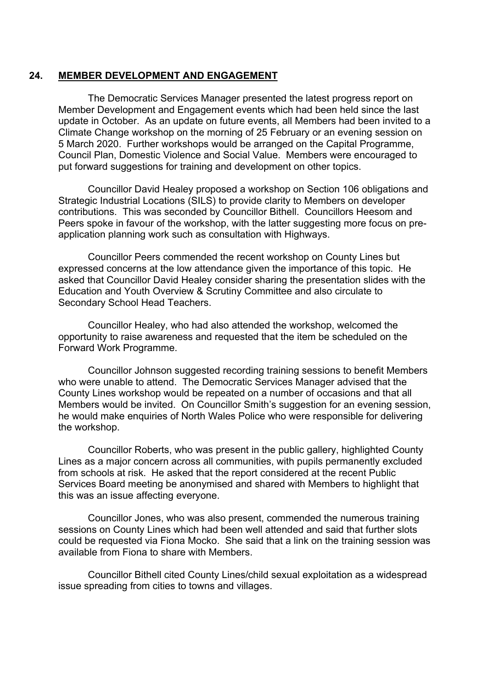### **24. MEMBER DEVELOPMENT AND ENGAGEMENT**

The Democratic Services Manager presented the latest progress report on Member Development and Engagement events which had been held since the last update in October. As an update on future events, all Members had been invited to a Climate Change workshop on the morning of 25 February or an evening session on 5 March 2020. Further workshops would be arranged on the Capital Programme, Council Plan, Domestic Violence and Social Value. Members were encouraged to put forward suggestions for training and development on other topics.

Councillor David Healey proposed a workshop on Section 106 obligations and Strategic Industrial Locations (SILS) to provide clarity to Members on developer contributions. This was seconded by Councillor Bithell. Councillors Heesom and Peers spoke in favour of the workshop, with the latter suggesting more focus on preapplication planning work such as consultation with Highways.

Councillor Peers commended the recent workshop on County Lines but expressed concerns at the low attendance given the importance of this topic. He asked that Councillor David Healey consider sharing the presentation slides with the Education and Youth Overview & Scrutiny Committee and also circulate to Secondary School Head Teachers.

Councillor Healey, who had also attended the workshop, welcomed the opportunity to raise awareness and requested that the item be scheduled on the Forward Work Programme.

Councillor Johnson suggested recording training sessions to benefit Members who were unable to attend. The Democratic Services Manager advised that the County Lines workshop would be repeated on a number of occasions and that all Members would be invited. On Councillor Smith's suggestion for an evening session, he would make enquiries of North Wales Police who were responsible for delivering the workshop.

Councillor Roberts, who was present in the public gallery, highlighted County Lines as a major concern across all communities, with pupils permanently excluded from schools at risk. He asked that the report considered at the recent Public Services Board meeting be anonymised and shared with Members to highlight that this was an issue affecting everyone.

Councillor Jones, who was also present, commended the numerous training sessions on County Lines which had been well attended and said that further slots could be requested via Fiona Mocko. She said that a link on the training session was available from Fiona to share with Members.

Councillor Bithell cited County Lines/child sexual exploitation as a widespread issue spreading from cities to towns and villages.